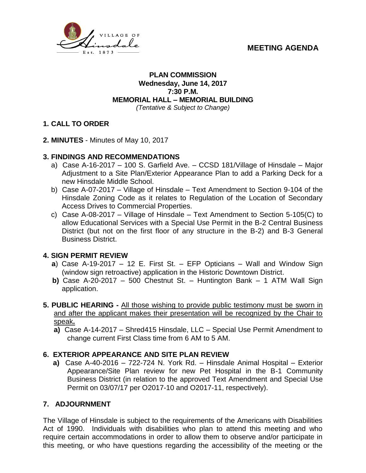



### **PLAN COMMISSION Wednesday, June 14, 2017 7:30 P.M. MEMORIAL HALL – MEMORIAL BUILDING** *(Tentative & Subject to Change)*

# **1. CALL TO ORDER**

**2. MINUTES** - Minutes of May 10, 2017

## **3. FINDINGS AND RECOMMENDATIONS**

- a) Case A-16-2017 100 S. Garfield Ave. CCSD 181/Village of Hinsdale Major Adjustment to a Site Plan/Exterior Appearance Plan to add a Parking Deck for a new Hinsdale Middle School.
- b) Case A-07-2017 Village of Hinsdale Text Amendment to Section 9-104 of the Hinsdale Zoning Code as it relates to Regulation of the Location of Secondary Access Drives to Commercial Properties.
- c) Case A-08-2017 Village of Hinsdale Text Amendment to Section 5-105(C) to allow Educational Services with a Special Use Permit in the B-2 Central Business District (but not on the first floor of any structure in the B-2) and B-3 General Business District.

## **4. SIGN PERMIT REVIEW**

- **a**) Case A-19-2017 12 E. First St. EFP Opticians Wall and Window Sign (window sign retroactive) application in the Historic Downtown District.
- **b)** Case A-20-2017 500 Chestnut St. Huntington Bank 1 ATM Wall Sign application.
- **5. PUBLIC HEARING -** All those wishing to provide public testimony must be sworn in and after the applicant makes their presentation will be recognized by the Chair to speak**.**
	- **a)** Case A-14-2017 Shred415 Hinsdale, LLC Special Use Permit Amendment to change current First Class time from 6 AM to 5 AM.

## **6. EXTERIOR APPEARANCE AND SITE PLAN REVIEW**

 **a)** Case A-40-2016 – 722-724 N. York Rd. – Hinsdale Animal Hospital – Exterior Appearance/Site Plan review for new Pet Hospital in the B-1 Community Business District (in relation to the approved Text Amendment and Special Use Permit on 03/07/17 per O2017-10 and O2017-11, respectively).

## **7. ADJOURNMENT**

The Village of Hinsdale is subject to the requirements of the Americans with Disabilities Act of 1990. Individuals with disabilities who plan to attend this meeting and who require certain accommodations in order to allow them to observe and/or participate in this meeting, or who have questions regarding the accessibility of the meeting or the